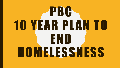# PBC **10 YEAR PLAN TO** END **HOMELESSNESS**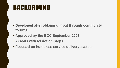## BACKGROUND

- **Developed after obtaining input through community forums**
- **Approved by the BCC September 2008**
- **7 Goals with 63 Action Steps**
- **Focused on homeless service delivery system**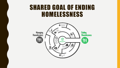### SHARED GOAL OF ENDING HOMELESSNESS

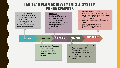#### TEN YEAR PLAN ACHIEVEMENTS & SYSTEM ENHANCEMENTS • Coordinated Outreach Efforts

| • Ten Year Plan-09/2008<br>57 non-profits /Faith based<br>entities assisted in writing the<br>Ten Year Plan.<br>• Homeless Advisory Board<br>formed by BCC<br>• Ten Year Plan established<br>7 goals and 63 action steps | <b>HRC Opens</b><br><b>Reallocated Transitional</b><br><b>Funding to Permanent</b><br><b>Supportive Housing.</b><br><b>Implemented Prioritization</b><br>utilizing Standardized<br>Assessment<br><b>Launched Housing First</b> |                                        | Implementing Parks to Work Program &<br>I of 5 communities in US chosen to house a<br>100 Youth in 100 days Campaign<br>Launching Collective Impact to update Ten<br>Year Plan.<br>59 of 63 Action Steps achieved<br><b>System Performance Outcomes</b><br><b>Implementing FUSE</b> | piloting Assertive Community Treatment Team |
|--------------------------------------------------------------------------------------------------------------------------------------------------------------------------------------------------------------------------|--------------------------------------------------------------------------------------------------------------------------------------------------------------------------------------------------------------------------------|----------------------------------------|-------------------------------------------------------------------------------------------------------------------------------------------------------------------------------------------------------------------------------------------------------------------------------------|---------------------------------------------|
| 2008<br>$\bullet$<br>$\bullet$<br>$\bullet$                                                                                                                                                                              | 2012-2014<br>2009-2011<br><b>Identified Best Practices</b><br>in Homelessness<br>Designed the HRC<br>Launched Rapid Re-<br><b>Housing</b>                                                                                      | 2015-2016<br>Housing.<br><b>Street</b> | $2017 - 2018$<br>Implemented Trauma Informed<br>Approach at the HRC.<br><b>Reallocated Emergency</b><br>Shelter dollars to Rapid Re-<br>Housed directly from the                                                                                                                    |                                             |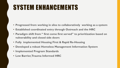# SYSTEM ENHANCEMENTS

- **Progressed from working in silos to collaboratively working as a system**
- **Established coordinated entry through Outreach and the HRC**
- **Paradigm shift from " first come first served" to prioritization based on vulnerability and closed side doors**
- **Fully implemented Housing First & Rapid Re-Housing**
- **Developed a robust Homeless Management Information System**
- **Implemented Program Standards**
- **Low Barrier, Trauma Informed HRC**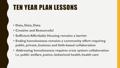## TEN YEAR PLAN LESSONS

- **Data, Data, Data**
- **Creative and Resourceful**
- **Sufficient Affordable Housing remains a barrier**
- **Ending homelessness remains a community effort requiring public, private, business and faith-based collaboration**
- **Addressing homelessness requires cross system collaboration i.e. public welfare, justice, behavioral health, health care**